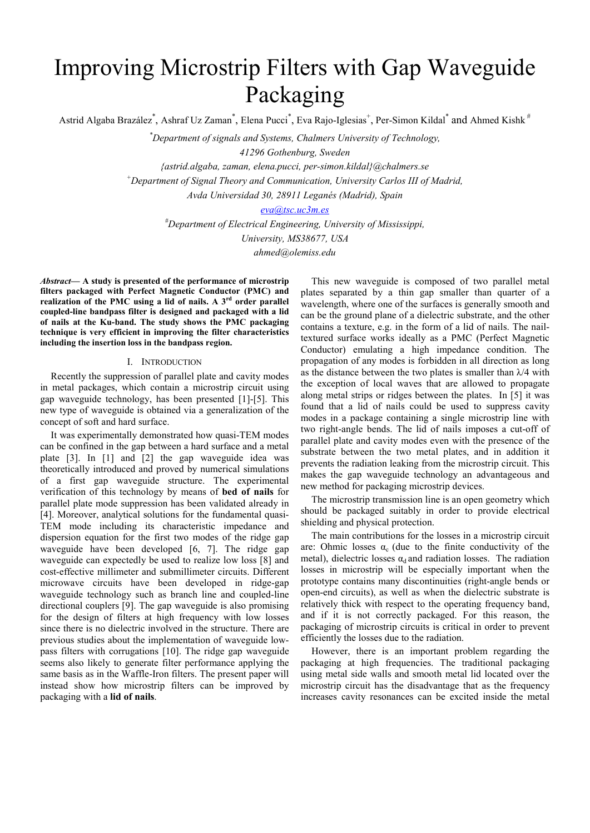# Improving Microstrip Filters with Gap Waveguide Packaging

Astrid Algaba Brazález\*, Ashraf Uz Zaman\*, Elena Pucci\*, Eva Rajo-Iglesias<sup>+</sup>, Per-Simon Kildal\* and Ahmed Kishk<sup>#</sup>

*\* Department of signals and Systems, Chalmers University of Technology,* 

*41296 Gothenburg, Sweden* 

*{astrid.algaba, zaman, elena.pucci, per-simon.kildal}@chalmers.se* 

*+ Department of Signal Theory and Communication, University Carlos III of Madrid,* 

*Avda Universidad 30, 28911 Leganés (Madrid), Spain* 

*eva@tsc.uc3m.es*

*# Department of Electrical Engineering, University of Mississippi, University, MS38677, USA* 

*ahmed@olemiss.edu* 

*Abstract***— A study is presented of the performance of microstrip filters packaged with Perfect Magnetic Conductor (PMC) and realization of the PMC using a lid of nails. A 3rd order parallel coupled-line bandpass filter is designed and packaged with a lid of nails at the Ku-band. The study shows the PMC packaging technique is very efficient in improving the filter characteristics including the insertion loss in the bandpass region.** 

### I. INTRODUCTION

Recently the suppression of parallel plate and cavity modes in metal packages, which contain a microstrip circuit using gap waveguide technology, has been presented [1]-[5]. This new type of waveguide is obtained via a generalization of the concept of soft and hard surface.

It was experimentally demonstrated how quasi-TEM modes can be confined in the gap between a hard surface and a metal plate [3]. In [1] and [2] the gap waveguide idea was theoretically introduced and proved by numerical simulations of a first gap waveguide structure. The experimental verification of this technology by means of **bed of nails** for parallel plate mode suppression has been validated already in [4]. Moreover, analytical solutions for the fundamental quasi-TEM mode including its characteristic impedance and dispersion equation for the first two modes of the ridge gap waveguide have been developed [6, 7]. The ridge gap waveguide can expectedly be used to realize low loss [8] and cost-effective millimeter and submillimeter circuits. Different microwave circuits have been developed in ridge-gap waveguide technology such as branch line and coupled-line directional couplers [9]. The gap waveguide is also promising for the design of filters at high frequency with low losses since there is no dielectric involved in the structure. There are previous studies about the implementation of waveguide lowpass filters with corrugations [10]. The ridge gap waveguide seems also likely to generate filter performance applying the same basis as in the Waffle-Iron filters. The present paper will instead show how microstrip filters can be improved by packaging with a **lid of nails**.

This new waveguide is composed of two parallel metal plates separated by a thin gap smaller than quarter of a wavelength, where one of the surfaces is generally smooth and can be the ground plane of a dielectric substrate, and the other contains a texture, e.g. in the form of a lid of nails. The nailtextured surface works ideally as a PMC (Perfect Magnetic Conductor) emulating a high impedance condition. The propagation of any modes is forbidden in all direction as long as the distance between the two plates is smaller than  $\lambda/4$  with the exception of local waves that are allowed to propagate along metal strips or ridges between the plates. In [5] it was found that a lid of nails could be used to suppress cavity modes in a package containing a single microstrip line with two right-angle bends. The lid of nails imposes a cut-off of parallel plate and cavity modes even with the presence of the substrate between the two metal plates, and in addition it prevents the radiation leaking from the microstrip circuit. This makes the gap waveguide technology an advantageous and new method for packaging microstrip devices.

The microstrip transmission line is an open geometry which should be packaged suitably in order to provide electrical shielding and physical protection.

The main contributions for the losses in a microstrip circuit are: Ohmic losses  $\alpha_c$  (due to the finite conductivity of the metal), dielectric losses  $\alpha_d$  and radiation losses. The radiation losses in microstrip will be especially important when the prototype contains many discontinuities (right-angle bends or open-end circuits), as well as when the dielectric substrate is relatively thick with respect to the operating frequency band, and if it is not correctly packaged. For this reason, the packaging of microstrip circuits is critical in order to prevent efficiently the losses due to the radiation.

However, there is an important problem regarding the packaging at high frequencies. The traditional packaging using metal side walls and smooth metal lid located over the microstrip circuit has the disadvantage that as the frequency increases cavity resonances can be excited inside the metal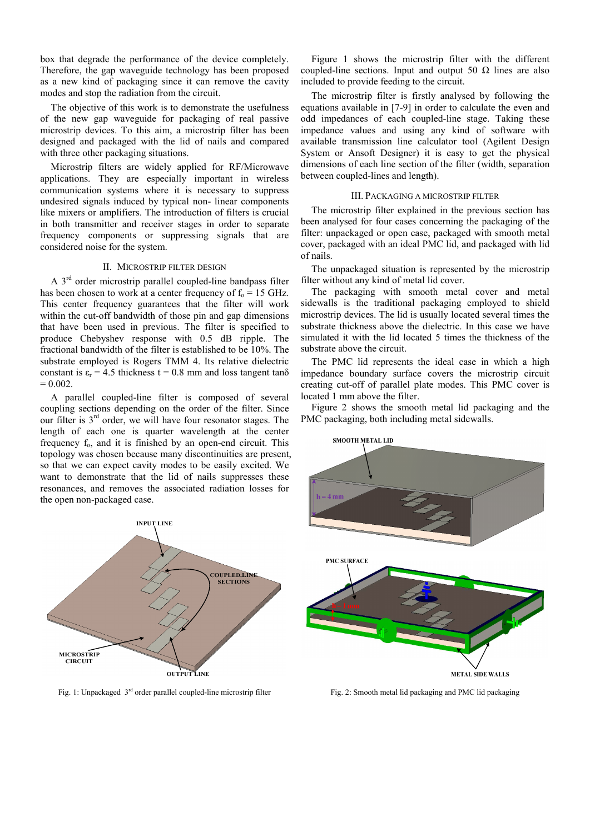box that degrade the performance of the device completely. Therefore, the gap waveguide technology has been proposed as a new kind of packaging since it can remove the cavity modes and stop the radiation from the circuit.

The objective of this work is to demonstrate the usefulness of the new gap waveguide for packaging of real passive microstrip devices. To this aim, a microstrip filter has been designed and packaged with the lid of nails and compared with three other packaging situations.

Microstrip filters are widely applied for RF/Microwave applications. They are especially important in wireless communication systems where it is necessary to suppress undesired signals induced by typical non- linear components like mixers or amplifiers. The introduction of filters is crucial in both transmitter and receiver stages in order to separate frequency components or suppressing signals that are considered noise for the system.

## II. MICROSTRIP FILTER DESIGN

A 3rd order microstrip parallel coupled-line bandpass filter has been chosen to work at a center frequency of  $f_0 = 15$  GHz. This center frequency guarantees that the filter will work within the cut-off bandwidth of those pin and gap dimensions that have been used in previous. The filter is specified to produce Chebyshev response with 0.5 dB ripple. The fractional bandwidth of the filter is established to be 10%. The substrate employed is Rogers TMM 4. Its relative dielectric constant is  $\varepsilon_r = 4.5$  thickness t = 0.8 mm and loss tangent tan $\delta$  $= 0.002.$ 

A parallel coupled-line filter is composed of several coupling sections depending on the order of the filter. Since our filter is 3rd order, we will have four resonator stages. The length of each one is quarter wavelength at the center frequency  $f_0$ , and it is finished by an open-end circuit. This topology was chosen because many discontinuities are present, so that we can expect cavity modes to be easily excited. We want to demonstrate that the lid of nails suppresses these resonances, and removes the associated radiation losses for the open non-packaged case.



Fig. 1: Unpackaged  $3<sup>rd</sup>$  order parallel coupled-line microstrip filter

Figure 1 shows the microstrip filter with the different coupled-line sections. Input and output 50  $\Omega$  lines are also included to provide feeding to the circuit.

The microstrip filter is firstly analysed by following the equations available in [7-9] in order to calculate the even and odd impedances of each coupled-line stage. Taking these impedance values and using any kind of software with available transmission line calculator tool (Agilent Design System or Ansoft Designer) it is easy to get the physical dimensions of each line section of the filter (width, separation between coupled-lines and length).

#### III. PACKAGING A MICROSTRIP FILTER

The microstrip filter explained in the previous section has been analysed for four cases concerning the packaging of the filter: unpackaged or open case, packaged with smooth metal cover, packaged with an ideal PMC lid, and packaged with lid of nails.

The unpackaged situation is represented by the microstrip filter without any kind of metal lid cover.

The packaging with smooth metal cover and metal sidewalls is the traditional packaging employed to shield microstrip devices. The lid is usually located several times the substrate thickness above the dielectric. In this case we have simulated it with the lid located 5 times the thickness of the substrate above the circuit.

The PMC lid represents the ideal case in which a high impedance boundary surface covers the microstrip circuit creating cut-off of parallel plate modes. This PMC cover is located 1 mm above the filter.

Figure 2 shows the smooth metal lid packaging and the PMC packaging, both including metal sidewalls.



Fig. 2: Smooth metal lid packaging and PMC lid packaging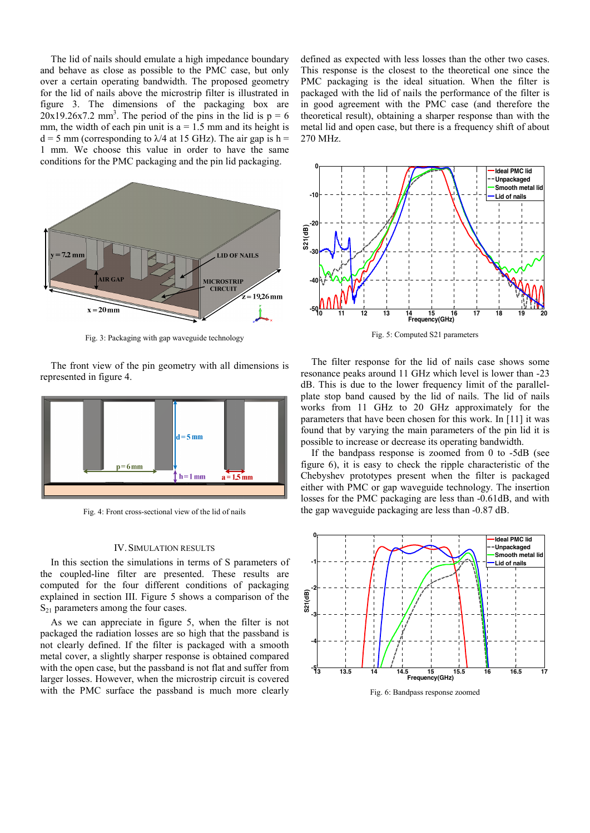The lid of nails should emulate a high impedance boundary and behave as close as possible to the PMC case, but only over a certain operating bandwidth. The proposed geometry for the lid of nails above the microstrip filter is illustrated in figure 3. The dimensions of the packaging box are  $20x19.26x7.2$  mm<sup>3</sup>. The period of the pins in the lid is  $p = 6$ mm, the width of each pin unit is  $a = 1.5$  mm and its height is  $d = 5$  mm (corresponding to  $\lambda$ /4 at 15 GHz). The air gap is h = 1 mm. We choose this value in order to have the same conditions for the PMC packaging and the pin lid packaging.



Fig. 3: Packaging with gap waveguide technology

The front view of the pin geometry with all dimensions is represented in figure 4.



Fig. 4: Front cross-sectional view of the lid of nails

#### IV.SIMULATION RESULTS

In this section the simulations in terms of S parameters of the coupled-line filter are presented. These results are computed for the four different conditions of packaging explained in section III. Figure 5 shows a comparison of the  $S_{21}$  parameters among the four cases.

As we can appreciate in figure 5, when the filter is not packaged the radiation losses are so high that the passband is not clearly defined. If the filter is packaged with a smooth metal cover, a slightly sharper response is obtained compared with the open case, but the passband is not flat and suffer from larger losses. However, when the microstrip circuit is covered with the PMC surface the passband is much more clearly defined as expected with less losses than the other two cases. This response is the closest to the theoretical one since the PMC packaging is the ideal situation. When the filter is packaged with the lid of nails the performance of the filter is in good agreement with the PMC case (and therefore the theoretical result), obtaining a sharper response than with the metal lid and open case, but there is a frequency shift of about 270 MHz.



Fig. 5: Computed S21 parameters

The filter response for the lid of nails case shows some resonance peaks around 11 GHz which level is lower than -23 dB. This is due to the lower frequency limit of the parallelplate stop band caused by the lid of nails. The lid of nails works from 11 GHz to 20 GHz approximately for the parameters that have been chosen for this work. In [11] it was found that by varying the main parameters of the pin lid it is possible to increase or decrease its operating bandwidth.

If the bandpass response is zoomed from 0 to -5dB (see figure 6), it is easy to check the ripple characteristic of the Chebyshev prototypes present when the filter is packaged either with PMC or gap waveguide technology. The insertion losses for the PMC packaging are less than -0.61dB, and with the gap waveguide packaging are less than -0.87 dB.



Fig. 6: Bandpass response zoomed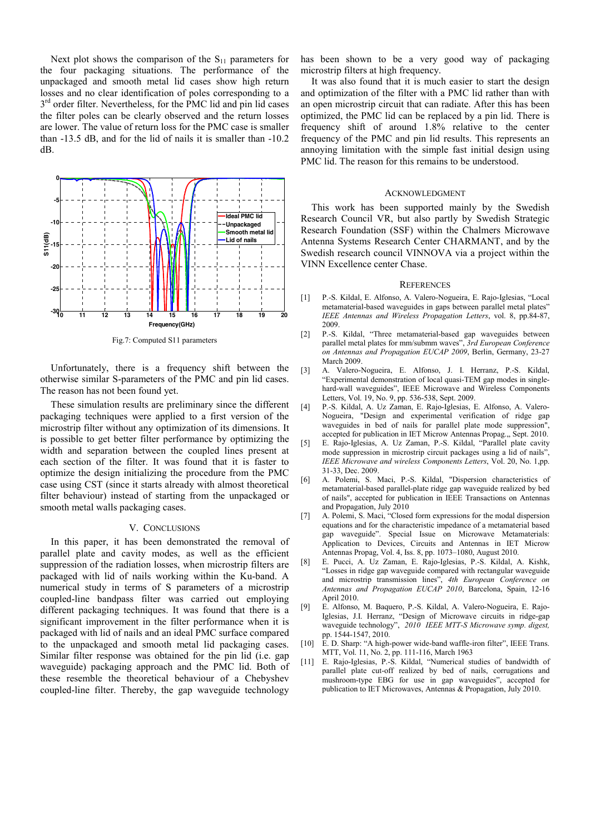Next plot shows the comparison of the  $S_{11}$  parameters for the four packaging situations. The performance of the unpackaged and smooth metal lid cases show high return losses and no clear identification of poles corresponding to a  $3<sup>rd</sup>$  order filter. Nevertheless, for the PMC lid and pin lid cases the filter poles can be clearly observed and the return losses are lower. The value of return loss for the PMC case is smaller than -13.5 dB, and for the lid of nails it is smaller than -10.2 dB.



Fig.7: Computed S11 parameters

Unfortunately, there is a frequency shift between the otherwise similar S-parameters of the PMC and pin lid cases. The reason has not been found yet.

These simulation results are preliminary since the different packaging techniques were applied to a first version of the microstrip filter without any optimization of its dimensions. It is possible to get better filter performance by optimizing the width and separation between the coupled lines present at each section of the filter. It was found that it is faster to optimize the design initializing the procedure from the PMC case using CST (since it starts already with almost theoretical filter behaviour) instead of starting from the unpackaged or smooth metal walls packaging cases.

#### V. CONCLUSIONS

In this paper, it has been demonstrated the removal of parallel plate and cavity modes, as well as the efficient suppression of the radiation losses, when microstrip filters are packaged with lid of nails working within the Ku-band. A numerical study in terms of S parameters of a microstrip coupled-line bandpass filter was carried out employing different packaging techniques. It was found that there is a significant improvement in the filter performance when it is packaged with lid of nails and an ideal PMC surface compared to the unpackaged and smooth metal lid packaging cases. Similar filter response was obtained for the pin lid (i.e. gap waveguide) packaging approach and the PMC lid. Both of these resemble the theoretical behaviour of a Chebyshev coupled-line filter. Thereby, the gap waveguide technology

has been shown to be a very good way of packaging microstrip filters at high frequency.

It was also found that it is much easier to start the design and optimization of the filter with a PMC lid rather than with an open microstrip circuit that can radiate. After this has been optimized, the PMC lid can be replaced by a pin lid. There is frequency shift of around 1.8% relative to the center frequency of the PMC and pin lid results. This represents an annoying limitation with the simple fast initial design using PMC lid. The reason for this remains to be understood.

#### ACKNOWLEDGMENT

This work has been supported mainly by the Swedish Research Council VR, but also partly by Swedish Strategic Research Foundation (SSF) within the Chalmers Microwave Antenna Systems Research Center CHARMANT, and by the Swedish research council VINNOVA via a project within the VINN Excellence center Chase.

#### **REFERENCES**

- [1] P.-S. Kildal, E. Alfonso, A. Valero-Nogueira, E. Rajo-Iglesias, "Local metamaterial-based waveguides in gaps between parallel metal plates" *IEEE Antennas and Wireless Propagation Letters*, vol. 8, pp.84-87, 2009.
- [2] P.-S. Kildal, "Three metamaterial-based gap waveguides between parallel metal plates for mm/submm waves", *3rd European Conference on Antennas and Propagation EUCAP 2009*, Berlin, Germany, 23-27 March 2009.
- [3] A. Valero-Nogueira, E. Alfonso, J. I. Herranz, P.-S. Kildal, "Experimental demonstration of local quasi-TEM gap modes in singlehard-wall waveguides", IEEE Microwave and Wireless Components Letters, Vol. 19, No. 9, pp. 536-538, Sept. 2009.
- [4] P.-S. Kildal, A. Uz Zaman, E. Rajo-Iglesias, E. Alfonso, A. Valero-Nogueira, "Design and experimental verification of ridge gap waveguides in bed of nails for parallel plate mode suppression", accepted for publication in IET Microw Antennas Propag.,, Sept. 2010.
- [5] E. Rajo-Iglesias, A. Uz Zaman, P.-S. Kildal, "Parallel plate cavity mode suppression in microstrip circuit packages using a lid of nails", *IEEE Microwave and wireless Components Letters*, Vol. 20, No. 1,pp. 31-33, Dec. 2009.
- [6] A. Polemi, S. Maci, P.-S. Kildal, "Dispersion characteristics of metamaterial-based parallel-plate ridge gap waveguide realized by bed of nails", accepted for publication in IEEE Transactions on Antennas and Propagation, July 2010
- [7] A. Polemi, S. Maci, "Closed form expressions for the modal dispersion equations and for the characteristic impedance of a metamaterial based gap waveguide". Special Issue on Microwave Metamaterials: Application to Devices, Circuits and Antennas in IET Microw Antennas Propag, Vol. 4, Iss. 8, pp. 1073–1080, August 2010.
- [8] E. Pucci, A. Uz Zaman, E. Rajo-Iglesias, P.-S. Kildal, A. Kishk, "Losses in ridge gap waveguide compared with rectangular waveguide and microstrip transmission lines", *4th European Conference on Antennas and Propagation EUCAP 2010*, Barcelona, Spain, 12-16 April 2010.
- [9] E. Alfonso, M. Baquero, P.-S. Kildal, A. Valero-Nogueira, E. Rajo-Iglesias, J.I. Herranz, "Design of Microwave circuits in ridge-gap waveguide technology", *2010 IEEE MTT-S Microwave symp. digest,* pp. 1544-1547, 2010.
- [10] E. D. Sharp: "A high-power wide-band waffle-iron filter", IEEE Trans. MTT, Vol. 11, No. 2, pp. 111-116, March 1963
- [11] E. Rajo-Iglesias, P.-S. Kildal, "Numerical studies of bandwidth of parallel plate cut-off realized by bed of nails, corrugations and mushroom-type EBG for use in gap waveguides", accepted for publication to IET Microwaves, Antennas & Propagation, July 2010.